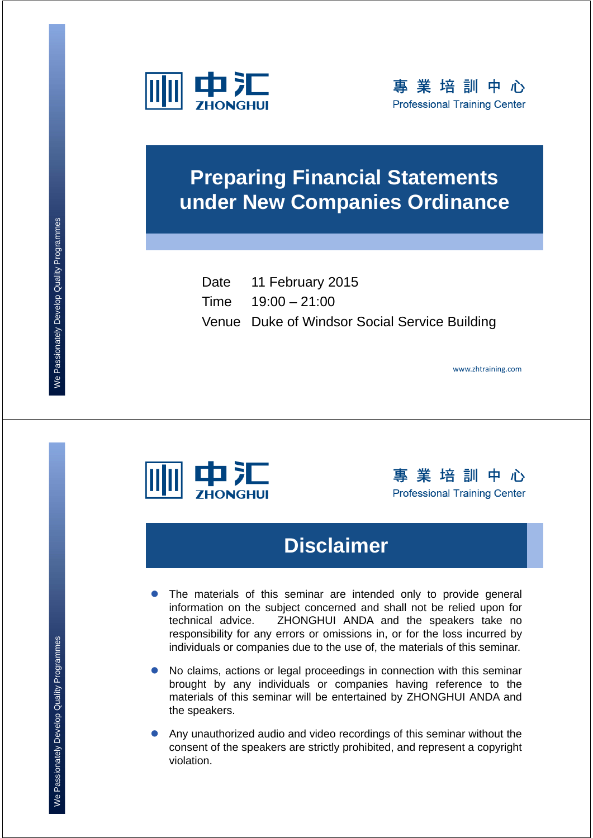



### **Preparing Financial Statements under New Companies Ordinance**

Date 11 February 2015 Time 19:00 – 21:00 Venue Duke of Windsor Social Service Building

www.zhtraining.com



事業培訓中心 **Professional Training Center** 

### **Disclaimer**

- The materials of this seminar are intended only to provide general information on the subject concerned and shall not be relied upon for technical advice. ZHONGHUI ANDA and the speakers take no responsibility for any errors or omissions in, or for the loss incurred by individuals or companies due to the use of, the materials of this seminar.
- No claims, actions or legal proceedings in connection with this seminar brought by any individuals or companies having reference to the materials of this seminar will be entertained by ZHONGHUI ANDA and the speakers.
- Any unauthorized audio and video recordings of this seminar without the consent of the speakers are strictly prohibited, and represent a copyright violation.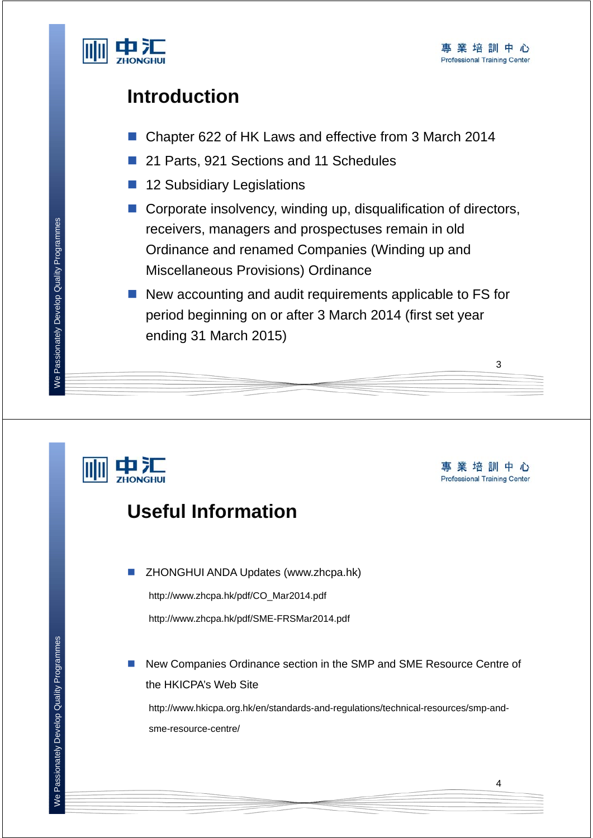

3

### **Introduction**

- Chapter 622 of HK Laws and effective from 3 March 2014
- 21 Parts, 921 Sections and 11 Schedules
- 12 Subsidiary Legislations
- Corporate insolvency, winding up, disqualification of directors, receivers, managers and prospectuses remain in old Ordinance and renamed Companies (Winding up and Miscellaneous Provisions) Ordinance
- $\blacksquare$  New accounting and audit requirements applicable to FS for period beginning on or after 3 March 2014 (first set year ending 31 March 2015)

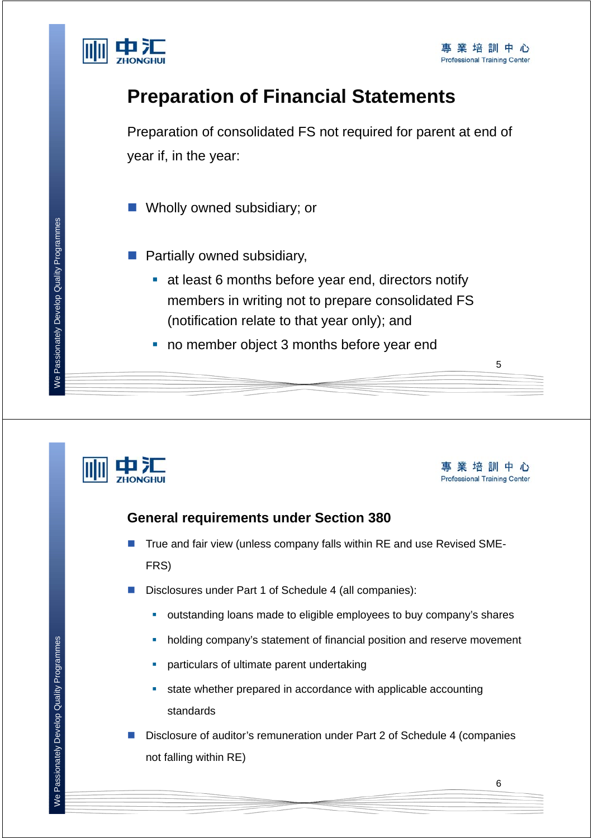

### **Preparation of Financial Statements**

Preparation of consolidated FS not required for parent at end of year if, in the year:

- **Nolly owned subsidiary; or**
- $\blacksquare$  Partially owned subsidiary,
	- at least 6 months before year end, directors notify members in writing not to prepare consolidated FS (notification relate to that year only); and
	- no member object 3 months before year end





5

#### **General requirements under Section 380**

- True and fair view (unless company falls within RE and use Revised SME-FRS)
- Disclosures under Part 1 of Schedule 4 (all companies):
	- outstanding loans made to eligible employees to buy company's shares
	- holding company's statement of financial position and reserve movement
	- particulars of ultimate parent undertaking
	- state whether prepared in accordance with applicable accounting standards
- Disclosure of auditor's remuneration under Part 2 of Schedule 4 (companies not falling within RE)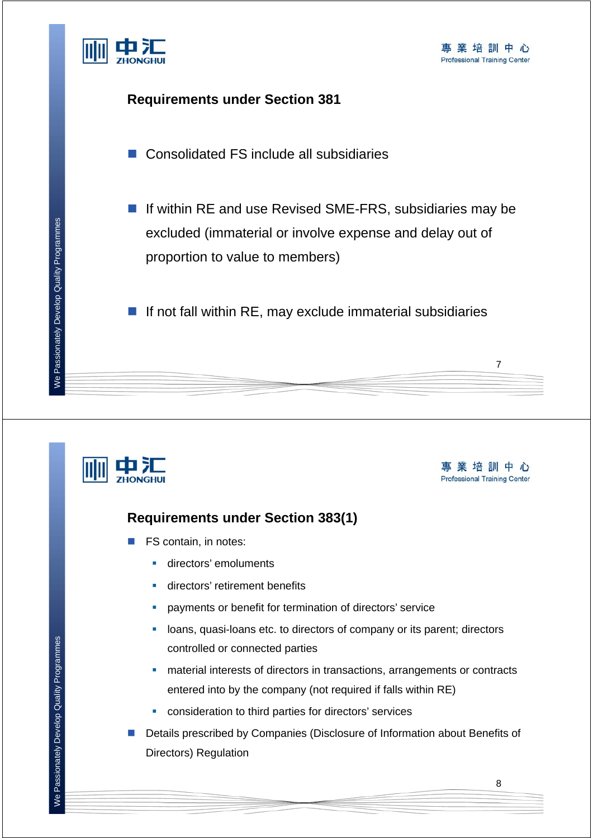

#### **Requirements under Section 381**

■ Consolidated FS include all subsidiaries

■ If within RE and use Revised SME-FRS, subsidiaries may be excluded (immaterial or involve expense and delay out of proportion to value to members)

 $\blacksquare$  If not fall within RE, may exclude immaterial subsidiaries



事業培訓中心 **Professional Training Center** 

7

#### **Requirements under Section 383(1)**

- FS contain, in notes:
	- **directors' emoluments**
	- **directors' retirement benefits**
	- payments or benefit for termination of directors' service
	- **-** loans, quasi-loans etc. to directors of company or its parent; directors controlled or connected parties
	- material interests of directors in transactions, arrangements or contracts entered into by the company (not required if falls within RE)
	- consideration to third parties for directors' services
- Details prescribed by Companies (Disclosure of Information about Benefits of Directors) Regulation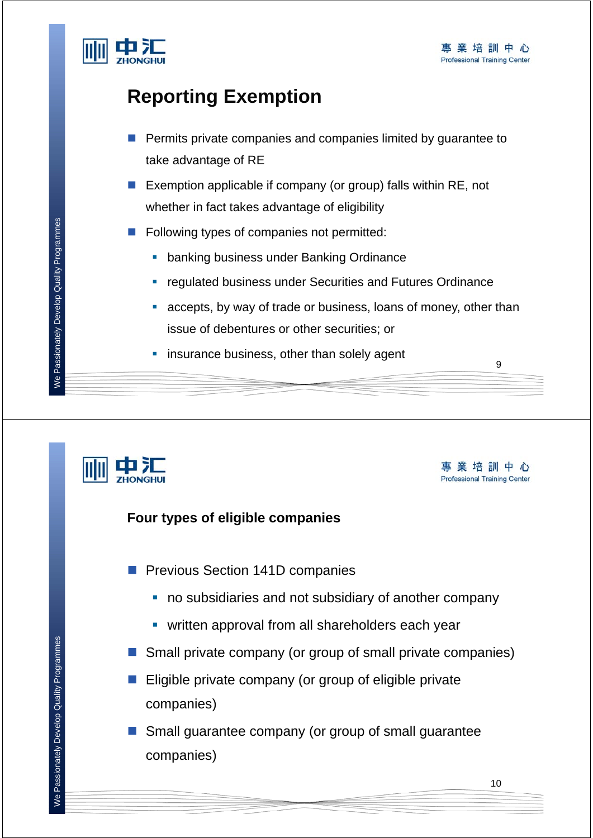

- **Permits private companies and companies limited by quarantee to** take advantage of RE
- Exemption applicable if company (or group) falls within RE, not whether in fact takes advantage of eligibility
- Following types of companies not permitted:
	- **banking business under Banking Ordinance**
	- regulated business under Securities and Futures Ordinance
	- accepts, by way of trade or business, loans of money, other than issue of debentures or other securities; or
	- insurance business, other than solely agent



事業培訓中心 **Professional Training Center** 

9

#### **Four types of eligible companies**

- **Previous Section 141D companies** 
	- no subsidiaries and not subsidiary of another company
	- **•** written approval from all shareholders each year
- Small private company (or group of small private companies)
- $\blacksquare$  Eligible private company (or group of eligible private companies)
- Small guarantee company (or group of small guarantee companies)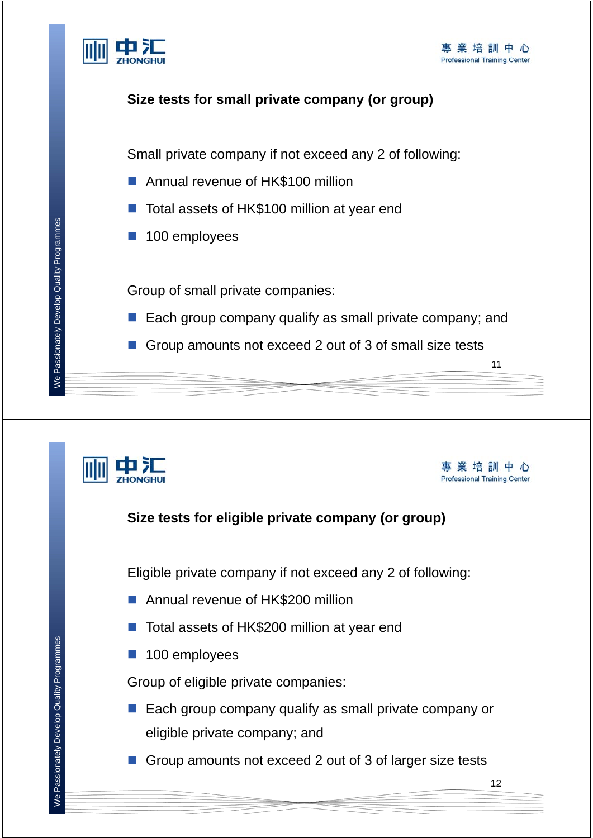

#### **Size tests for small private company (or group)**

Small private company if not exceed any 2 of following:

- Annual revenue of HK\$100 million
- Total assets of HK\$100 million at year end
- **100 employees**

Group of small private companies:

- Each group company qualify as small private company; and
- Group amounts not exceed 2 out of 3 of small size tests

事業培訓中心 **Professional Training Center** 

12

11

## **Size tests for eligible private company (or group)** Eligible private company if not exceed any 2 of following: Annual revenue of HK\$200 million ■ Total assets of HK\$200 million at year end **100 employees** Group of eligible private companies: ■ Each group company qualify as small private company or eligible private company; and Group amounts not exceed 2 out of 3 of larger size tests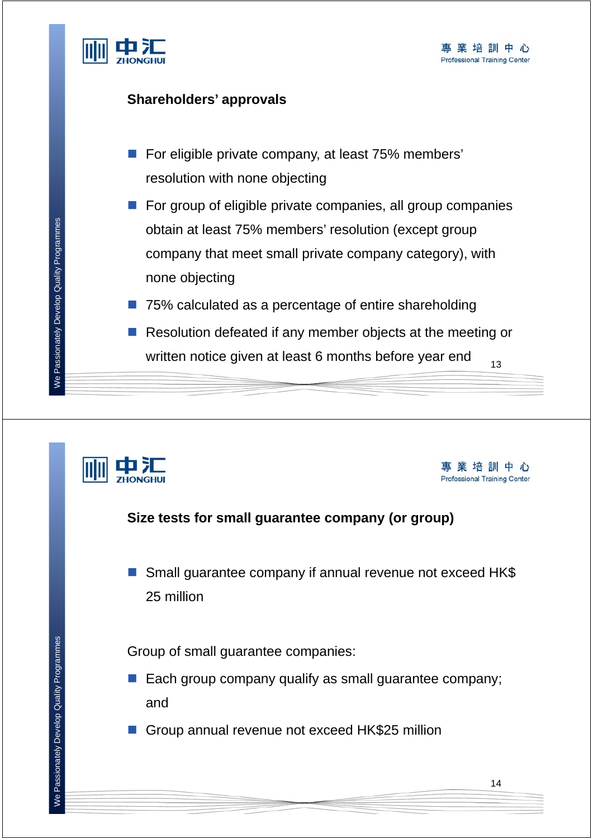

#### **Shareholders' approvals**

- For eligible private company, at least 75% members' resolution with none objecting
- $\blacksquare$  For group of eligible private companies, all group companies obtain at least 75% members' resolution (except group company that meet small private company category), with none objecting
- 75% calculated as a percentage of entire shareholding
- 13 Resolution defeated if any member objects at the meeting or written notice given at least 6 months before year end



事業培訓中心 **Professional Training Center** 

#### **Size tests for small guarantee company (or group)**

■ Small guarantee company if annual revenue not exceed HK\$ 25 million

Group of small guarantee companies:

- Each group company qualify as small guarantee company; and
- Group annual revenue not exceed HK\$25 million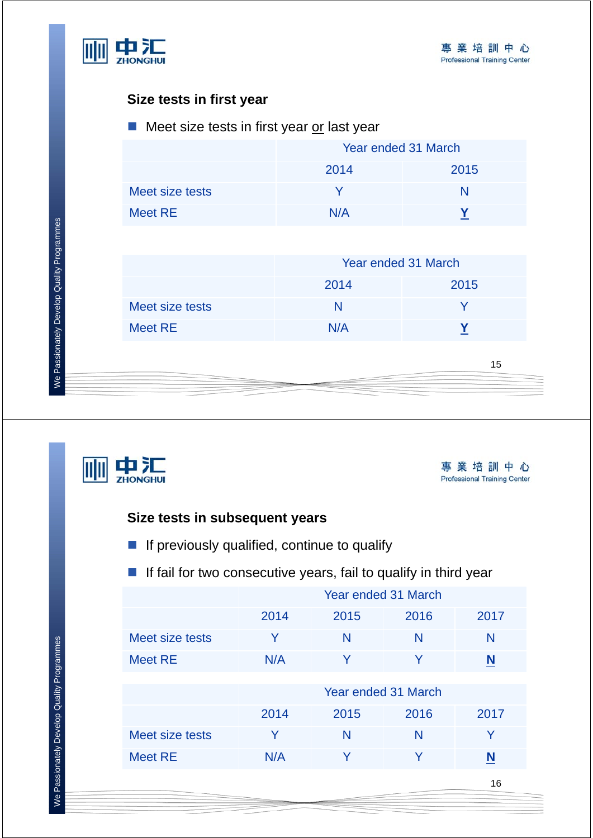

#### **Size tests in first year**

#### $\blacksquare$  Meet size tests in first year or last year

|                 | Year ended 31 March |      |  |  |
|-----------------|---------------------|------|--|--|
|                 | 2014                | 2015 |  |  |
| Meet size tests |                     | N    |  |  |
| Meet RE         | N/A                 |      |  |  |

|                 | Year ended 31 March |      |  |  |  |
|-----------------|---------------------|------|--|--|--|
|                 | 2014                | 2015 |  |  |  |
| Meet size tests | N                   |      |  |  |  |
| Meet RE         | N/A                 |      |  |  |  |



事業培訓中心 **Professional Training Center** 

16

#### **Size tests in subsequent years**

**If previously qualified, continue to qualify** 

#### **If fail for two consecutive years, fail to qualify in third year**

|                 | Year ended 31 March |        |      |      |  |
|-----------------|---------------------|--------|------|------|--|
|                 | 2014                | 2015   | 2016 | 2017 |  |
| Meet size tests | Y                   | N<br>N |      | N    |  |
| <b>Meet RE</b>  | N/A                 | Y<br>Y |      | N    |  |
|                 |                     |        |      |      |  |
|                 | Year ended 31 March |        |      |      |  |
|                 | 2014                | 2015   | 2016 | 2017 |  |
| Meet size tests | Y                   | N      | N    | Y    |  |
| <b>Meet RE</b>  | N/A                 | Y      | V    | N    |  |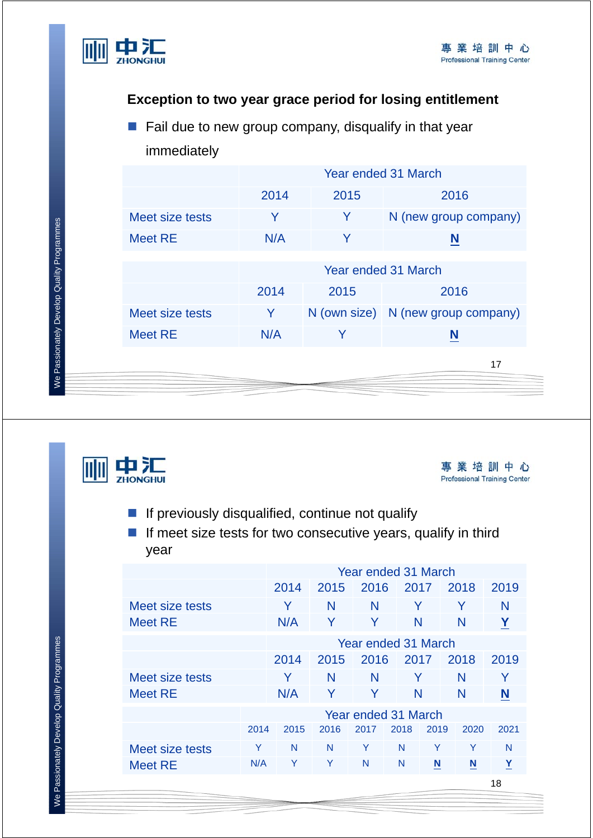

#### **Exception to two year grace period for losing entitlement**

 $\blacksquare$  Fail due to new group company, disqualify in that year immediately

|                 | Year ended 31 March  |      |                                    |  |  |
|-----------------|----------------------|------|------------------------------------|--|--|
|                 | 2014                 | 2015 | 2016                               |  |  |
| Meet size tests | Y                    | Y    | N (new group company)              |  |  |
| <b>Meet RE</b>  | N/A                  | Y    | N                                  |  |  |
|                 | Year ended 31 March  |      |                                    |  |  |
|                 | 2014<br>2015<br>2016 |      |                                    |  |  |
| Meet size tests | Y                    |      | N (own size) N (new group company) |  |  |
| <b>Meet RE</b>  | N/A                  | Y    | N                                  |  |  |
|                 |                      |      | 17                                 |  |  |





- $\blacksquare$  If previously disqualified, continue not qualify
- $\blacksquare$  If meet size tests for two consecutive years, qualify in third year

|                 |                     | Year ended 31 March |      |      |      |      |      |      |
|-----------------|---------------------|---------------------|------|------|------|------|------|------|
|                 |                     | 2014                | 2015 | 2016 | 2017 |      | 2018 | 2019 |
| Meet size tests |                     | Y                   | N    | N    | Y    |      | Y    | N    |
| <b>Meet RE</b>  |                     | N/A                 | Y    | Y    | N    |      | N    | Y    |
|                 | Year ended 31 March |                     |      |      |      |      |      |      |
|                 | 2014                |                     | 2015 | 2016 | 2017 |      | 2018 | 2019 |
| Meet size tests |                     | Y                   | N    | N    | Y    |      | N    | Y    |
| <b>Meet RE</b>  |                     | N/A                 | Y    | Y    | N    |      | N    | N    |
|                 | Year ended 31 March |                     |      |      |      |      |      |      |
|                 | 2014                | 2015                | 2016 | 2017 | 2018 | 2019 | 2020 | 2021 |
| Meet size tests | Y                   | N                   | N    | Y    | N    | Υ    | Y    | N    |
| <b>Meet RE</b>  | N/A                 | Y                   | Υ    | N    | N    | N    | N    | Y    |
|                 |                     |                     |      |      |      |      |      | 18   |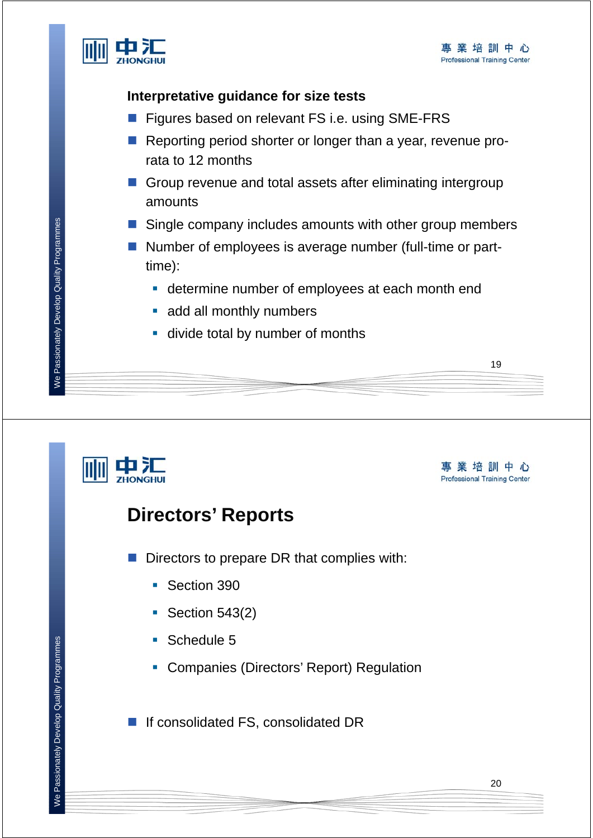19



#### **Interpretative guidance for size tests**

- Figures based on relevant FS i.e. using SME-FRS
- Reporting period shorter or longer than a year, revenue prorata to 12 months
- Group revenue and total assets after eliminating intergroup amounts
- Single company includes amounts with other group members
- Number of employees is average number (full-time or parttime):
	- **determine number of employees at each month end**
	- add all monthly numbers
	- **divide total by number of months**

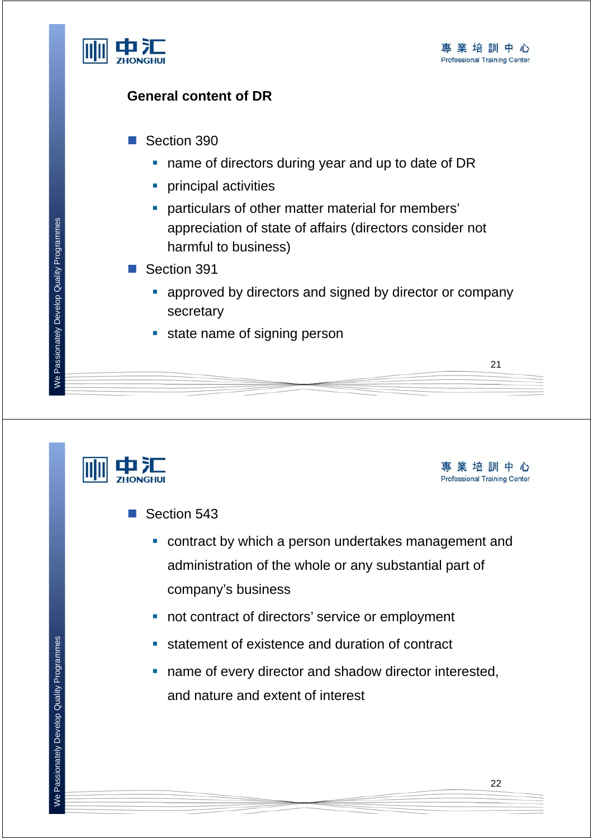

#### **General content of DR**

- Section 390
	- name of directors during year and up to date of DR
	- **principal activities**
	- particulars of other matter material for members' appreciation of state of affairs (directors consider not harmful to business)
- Section 391
	- **E** approved by directors and signed by director or company secretary
	- state name of signing person



事業培訓中心 **Professional Training Center** 

21

#### ■ Section 543

- contract by which a person undertakes management and administration of the whole or any substantial part of company's business
- not contract of directors' service or employment
- **statement of existence and duration of contract**
- name of every director and shadow director interested, and nature and extent of interest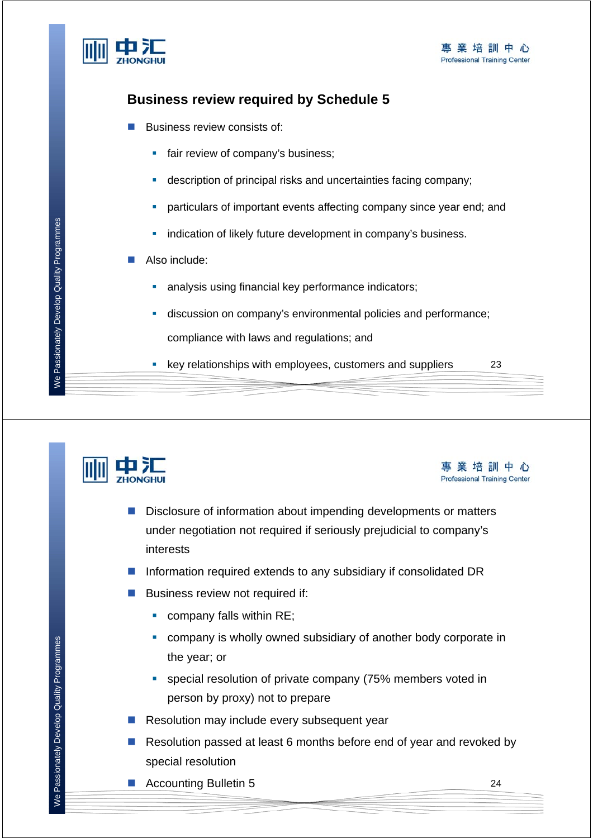

#### **Business review required by Schedule 5**

- Business review consists of:
	- fair review of company's business;
	- description of principal risks and uncertainties facing company;
	- particulars of important events affecting company since year end; and
	- **indication of likely future development in company's business.**
- Also include:
	- **analysis using financial key performance indicators;**
	- discussion on company's environmental policies and performance; compliance with laws and regulations; and
	- key relationships with employees, customers and suppliers



23

- Disclosure of information about impending developments or matters under negotiation not required if seriously prejudicial to company's interests
- Information required extends to any subsidiary if consolidated DR
- **Business review not required if:** 
	- **COMPANY falls within RE:**
	- company is wholly owned subsidiary of another body corporate in the year; or
	- special resolution of private company (75% members voted in person by proxy) not to prepare
- Resolution may include every subsequent year
- Resolution passed at least 6 months before end of year and revoked by special resolution
- Accounting Bulletin 5

We Passionately Develop Quality Programmes We Passionately Develop Quality Programmes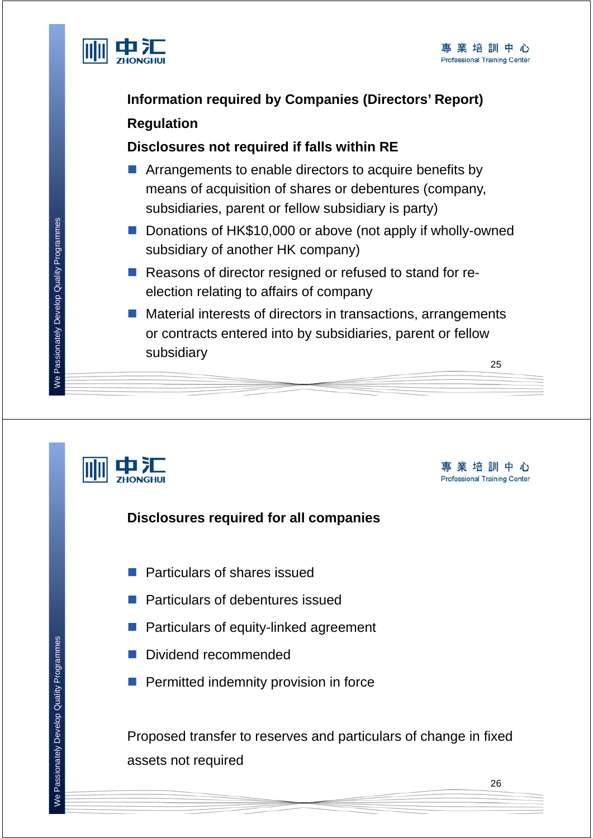

### **Information required by Companies (Directors' Report) Regulation**

#### **Disclosures not required if falls within RE**

- **E** Arrangements to enable directors to acquire benefits by means of acquisition of shares or debentures (company, subsidiaries, parent or fellow subsidiary is party)
- Donations of HK\$10,000 or above (not apply if wholly-owned subsidiary of another HK company)
- Reasons of director resigned or refused to stand for reelection relating to affairs of company
- 25 ■ Material interests of directors in transactions, arrangements or contracts entered into by subsidiaries, parent or fellow subsidiary



事業培訓中心 **Professional Training Center** 

#### **Disclosures required for all companies**

- **Particulars of shares issued**
- **Particulars of debentures issued**
- **Particulars of equity-linked agreement**
- Dividend recommended
- **Permitted indemnity provision in force**

Proposed transfer to reserves and particulars of change in fixed assets not required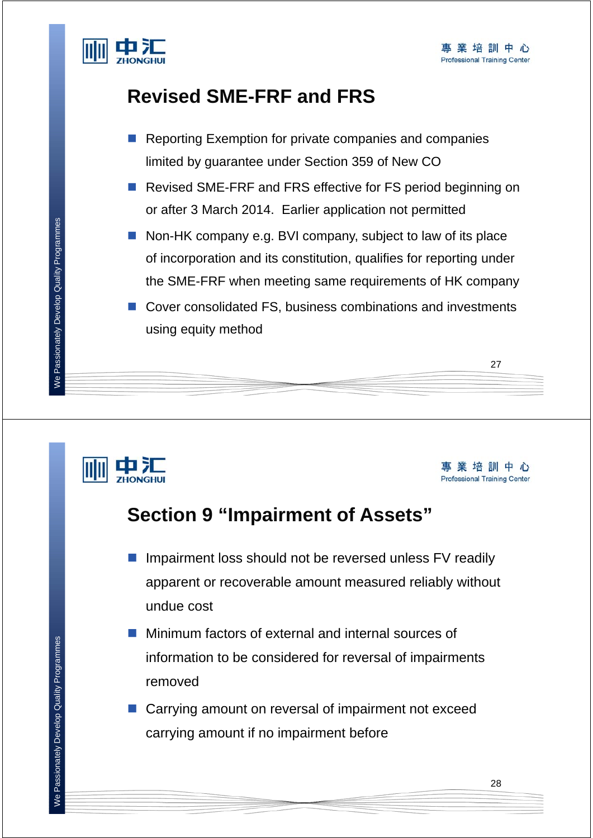

### **Revised SME-FRF and FRS**

- Reporting Exemption for private companies and companies limited by guarantee under Section 359 of New CO
- Revised SME-FRF and FRS effective for FS period beginning on or after 3 March 2014. Earlier application not permitted
- Non-HK company e.g. BVI company, subject to law of its place of incorporation and its constitution, qualifies for reporting under the SME-FRF when meeting same requirements of HK company
- Cover consolidated FS, business combinations and investments using equity method

# шэ

事業培訓中心 **Professional Training Center** 

27

### **Section 9 "Impairment of Assets"**

- **Impairment loss should not be reversed unless FV readily** apparent or recoverable amount measured reliably without undue cost
- **Minimum factors of external and internal sources of** information to be considered for reversal of impairments removed
- Carrying amount on reversal of impairment not exceed carrying amount if no impairment before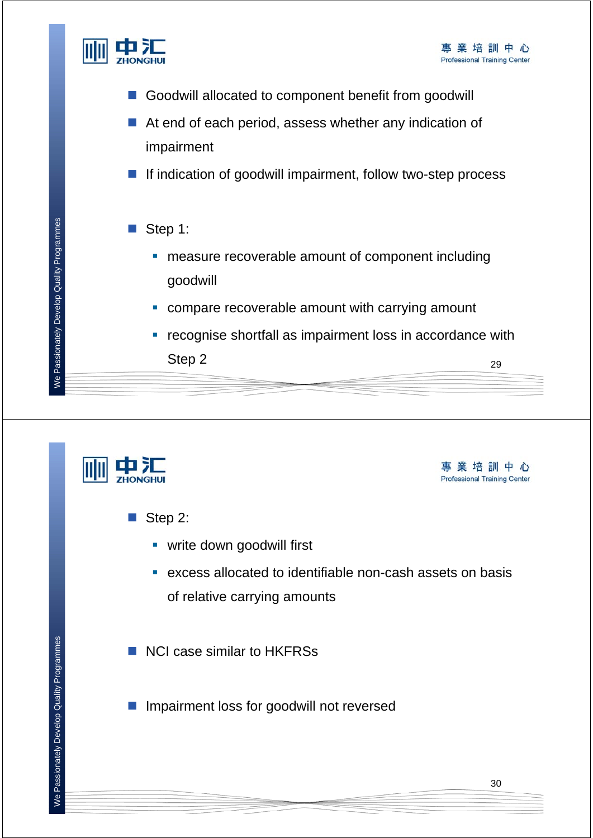

- Goodwill allocated to component benefit from goodwill
- At end of each period, assess whether any indication of impairment
- $\blacksquare$  If indication of goodwill impairment, follow two-step process
- $\blacksquare$  Step 1:
	- **EXECUTE:** measure recoverable amount of component including goodwill
	- **compare recoverable amount with carrying amount**
	- **•** recognise shortfall as impairment loss in accordance with Step 2  $_{29}$

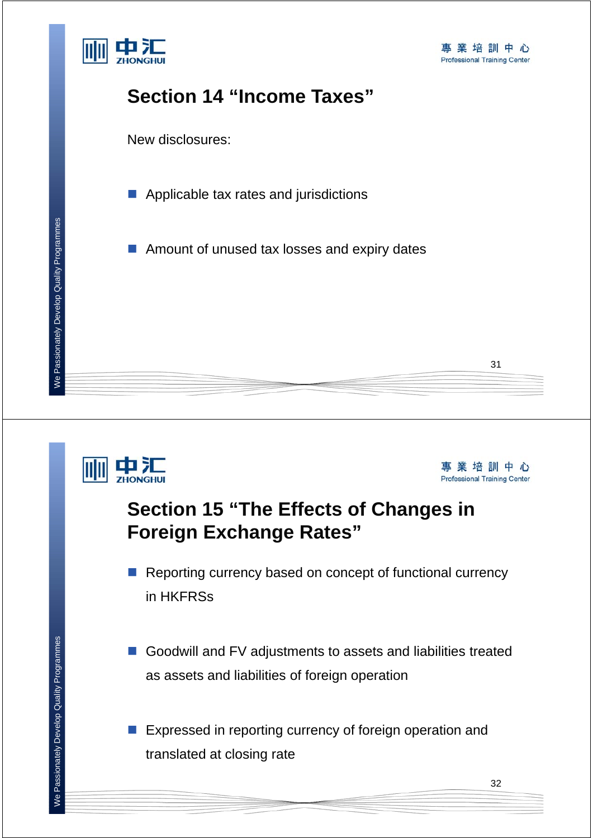



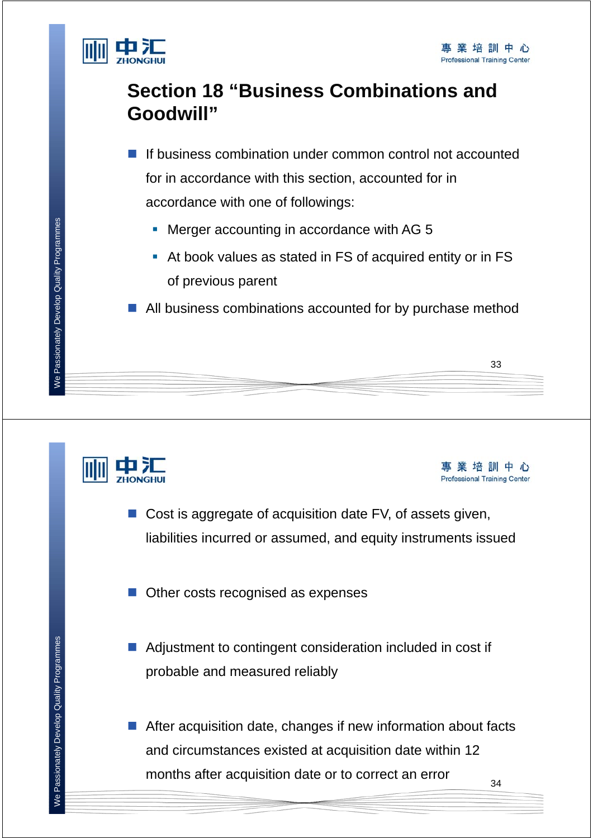

事業培訓中心 **Professional Training Center** 

### **Section 18 "Business Combinations and Goodwill"**

- If business combination under common control not accounted for in accordance with this section, accounted for in accordance with one of followings:
	- Merger accounting in accordance with AG 5
	- At book values as stated in FS of acquired entity or in FS of previous parent

■ All business combinations accounted for by purchase method





- Other costs recognised as expenses
- Adjustment to contingent consideration included in cost if probable and measured reliably
- 34 After acquisition date, changes if new information about facts and circumstances existed at acquisition date within 12 months after acquisition date or to correct an error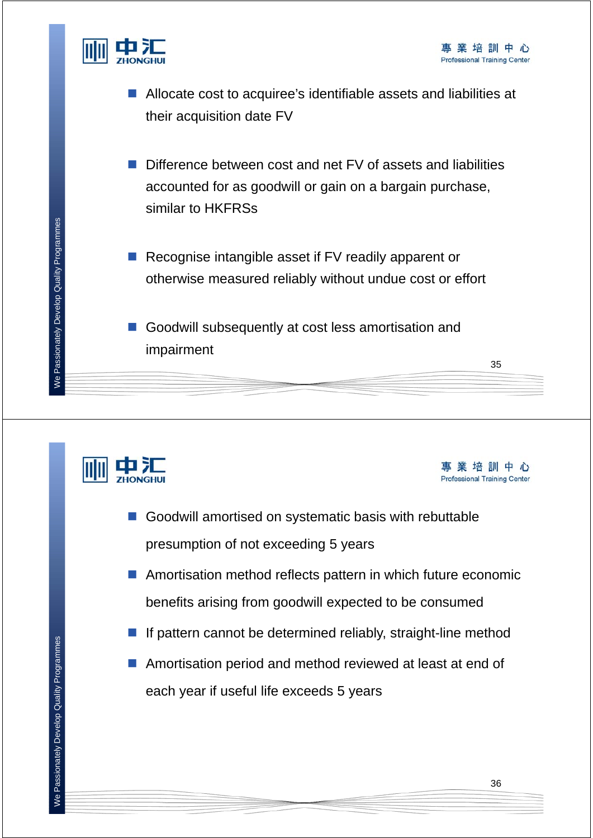



- Allocate cost to acquiree's identifiable assets and liabilities at their acquisition date FV
- Difference between cost and net FV of assets and liabilities accounted for as goodwill or gain on a bargain purchase, similar to HKFRSs
- Recognise intangible asset if FV readily apparent or otherwise measured reliably without undue cost or effort
- Goodwill subsequently at cost less amortisation and impairment





35

- Goodwill amortised on systematic basis with rebuttable presumption of not exceeding 5 years
- Amortisation method reflects pattern in which future economic benefits arising from goodwill expected to be consumed
- If pattern cannot be determined reliably, straight-line method
- Amortisation period and method reviewed at least at end of each year if useful life exceeds 5 years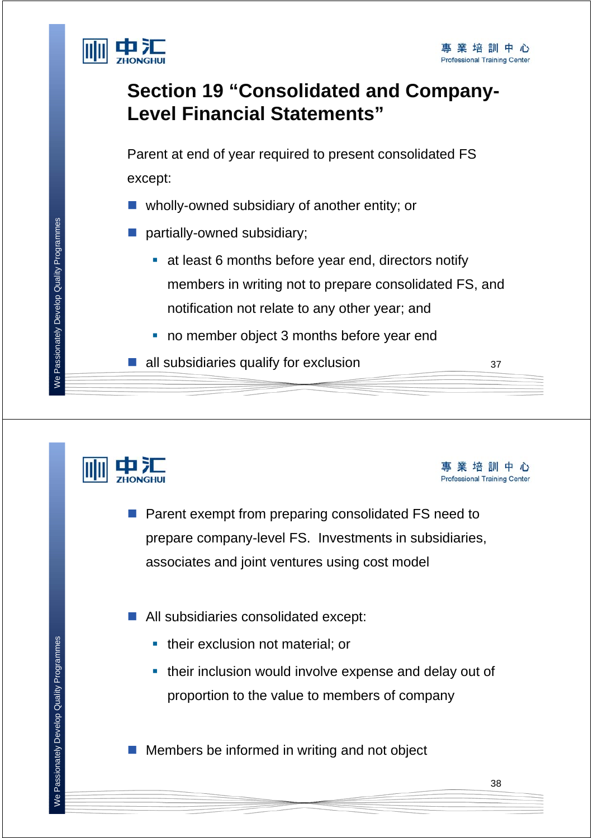

### **Section 19 "Consolidated and Company-Level Financial Statements"**

Parent at end of year required to present consolidated FS except:

- wholly-owned subsidiary of another entity; or
- partially-owned subsidiary;
	- at least 6 months before year end, directors notify members in writing not to prepare consolidated FS, and notification not relate to any other year; and
	- no member object 3 months before year end
- $\blacksquare$  all subsidiaries qualify for exclusion  $37$





- Parent exempt from preparing consolidated FS need to prepare company-level FS. Investments in subsidiaries, associates and joint ventures using cost model
- All subsidiaries consolidated except:
	- **their exclusion not material; or**
	- **their inclusion would involve expense and delay out of** proportion to the value to members of company

 $\blacksquare$  Members be informed in writing and not object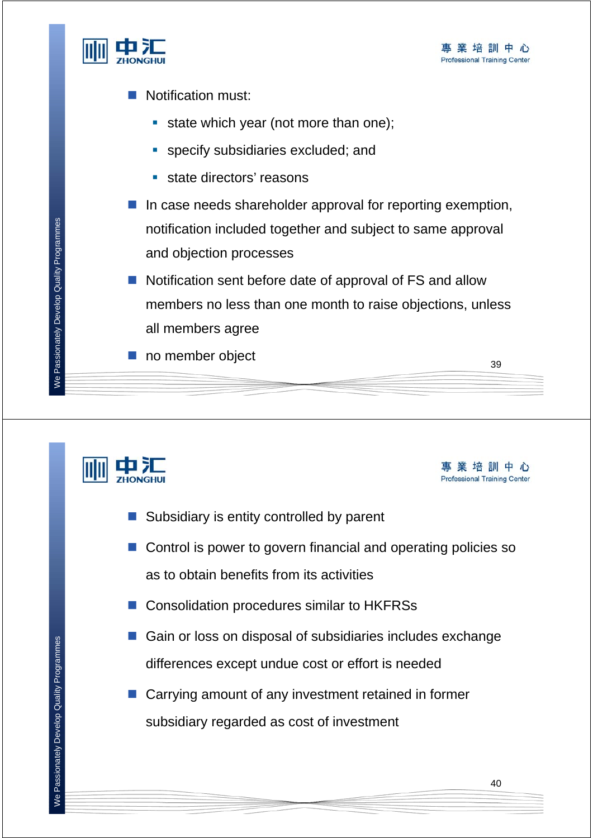

- **Notification must:** 
	- state which year (not more than one);
	- **specify subsidiaries excluded; and**
	- state directors' reasons
- $\blacksquare$  In case needs shareholder approval for reporting exemption, notification included together and subject to same approval and objection processes
- Notification sent before date of approval of FS and allow members no less than one month to raise objections, unless all members agree
- no member object

事業培訓中心 **Professional Training Center** 

39

- Subsidiary is entity controlled by parent
- Control is power to govern financial and operating policies so as to obtain benefits from its activities
- Consolidation procedures similar to HKFRSs
- Gain or loss on disposal of subsidiaries includes exchange differences except undue cost or effort is needed
- Carrying amount of any investment retained in former subsidiary regarded as cost of investment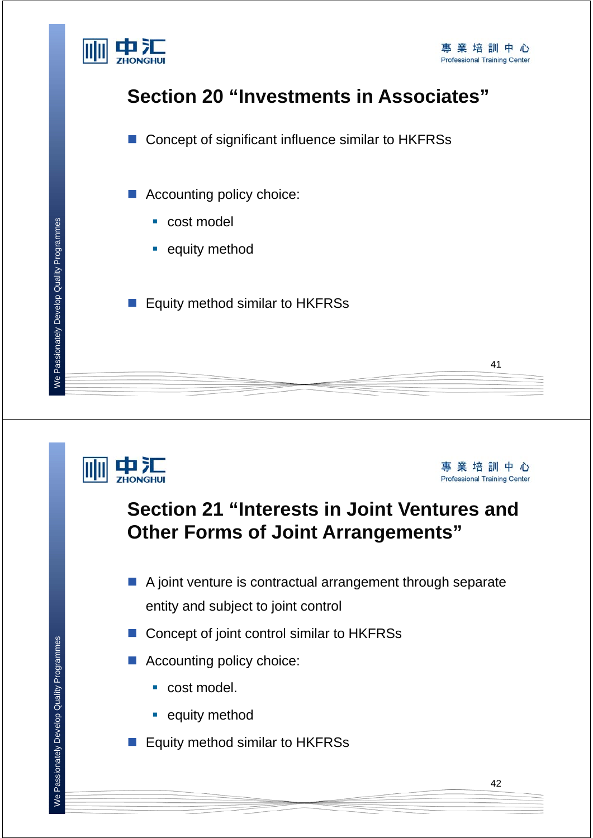

### **Section 20 "Investments in Associates"**

■ Concept of significant influence similar to HKFRSs

■ Accounting policy choice:

- cost model
- **equity method**
- Equity method similar to HKFRSs

中汇

事業培訓中心 **Professional Training Center** 

41

### **Section 21 "Interests in Joint Ventures and Other Forms of Joint Arrangements"**

- A joint venture is contractual arrangement through separate entity and subject to joint control
- Concept of joint control similar to HKFRSs
- Accounting policy choice:
	- cost model.
	- **equity method**
- Equity method similar to HKFRSs

We Passionately Develop Quality Programmes

We Passionately Develop Quality Programmes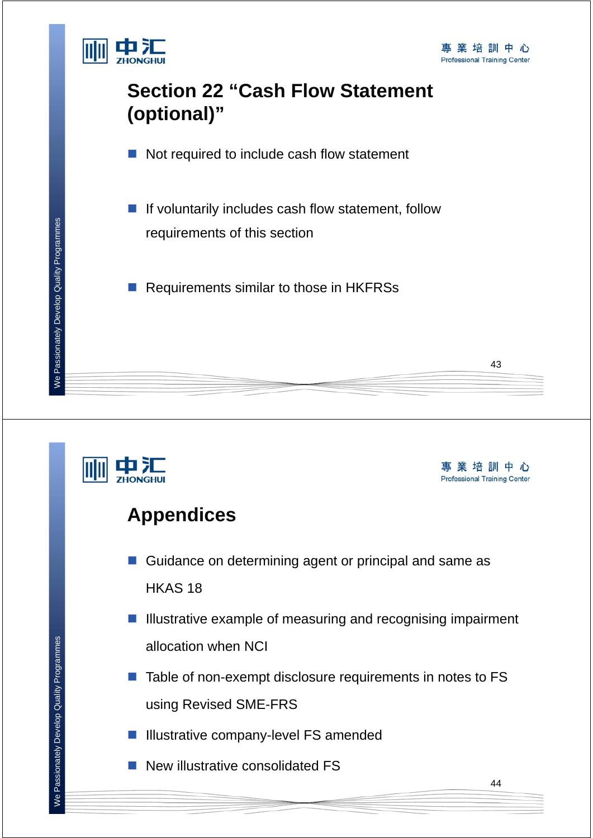

### **Section 22 "Cash Flow Statement (optional)"**

- Not required to include cash flow statement
- $\blacksquare$  If voluntarily includes cash flow statement, follow requirements of this section
- Requirements similar to those in HKFRSs



事業培訓中心 **Professional Training Center** 

43

### **Appendices**

- Guidance on determining agent or principal and same as HKAS 18
- $\blacksquare$  Illustrative example of measuring and recognising impairment allocation when NCI
- $\blacksquare$  Table of non-exempt disclosure requirements in notes to FS using Revised SME-FRS
- **Illustrative company-level FS amended**
- New illustrative consolidated FS